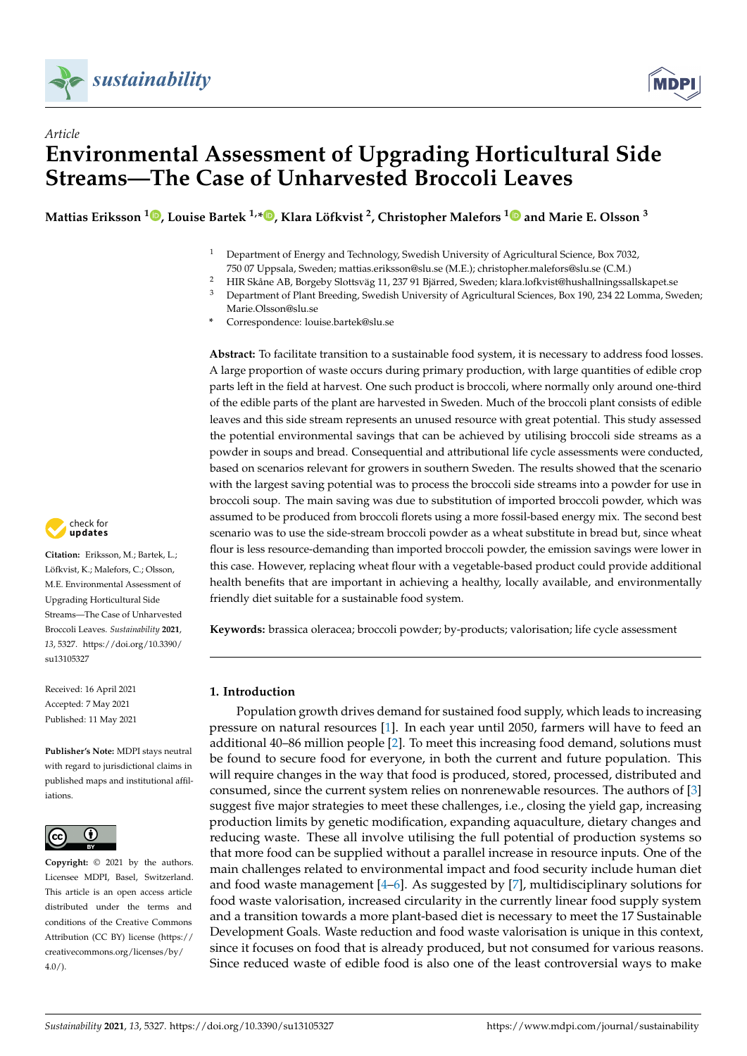



## *Article* **Environmental Assessment of Upgrading Horticultural Side Streams—The Case of Unharvested Broccoli Leaves**

**Mattias Eriksson [1](https://orcid.org/0000-0001-5586-0372) , Louise Bartek 1,\* [,](https://orcid.org/0000-0003-2728-8545) Klara Löfkvist <sup>2</sup> , Christopher Malefors [1](https://orcid.org/0000-0001-5297-4876) and Marie E. Olsson <sup>3</sup>**

- <sup>1</sup> Department of Energy and Technology, Swedish University of Agricultural Science, Box 7032, 750 07 Uppsala, Sweden; mattias.eriksson@slu.se (M.E.); christopher.malefors@slu.se (C.M.)
- <sup>2</sup> HIR Skåne AB, Borgeby Slottsväg 11, 237 91 Bjärred, Sweden; klara.lofkvist@hushallningssallskapet.se<br><sup>3</sup> Department of Plant Broeding, Suedish University of Acricultural Sciences, Box 100, 224, 22 J emma, Sur
- <sup>3</sup> Department of Plant Breeding, Swedish University of Agricultural Sciences, Box 190, 234 22 Lomma, Sweden; Marie.Olsson@slu.se
- **\*** Correspondence: louise.bartek@slu.se

**Abstract:** To facilitate transition to a sustainable food system, it is necessary to address food losses. A large proportion of waste occurs during primary production, with large quantities of edible crop parts left in the field at harvest. One such product is broccoli, where normally only around one-third of the edible parts of the plant are harvested in Sweden. Much of the broccoli plant consists of edible leaves and this side stream represents an unused resource with great potential. This study assessed the potential environmental savings that can be achieved by utilising broccoli side streams as a powder in soups and bread. Consequential and attributional life cycle assessments were conducted, based on scenarios relevant for growers in southern Sweden. The results showed that the scenario with the largest saving potential was to process the broccoli side streams into a powder for use in broccoli soup. The main saving was due to substitution of imported broccoli powder, which was assumed to be produced from broccoli florets using a more fossil-based energy mix. The second best scenario was to use the side-stream broccoli powder as a wheat substitute in bread but, since wheat flour is less resource-demanding than imported broccoli powder, the emission savings were lower in this case. However, replacing wheat flour with a vegetable-based product could provide additional health benefits that are important in achieving a healthy, locally available, and environmentally friendly diet suitable for a sustainable food system.

**Keywords:** brassica oleracea; broccoli powder; by-products; valorisation; life cycle assessment

## **1. Introduction**

Population growth drives demand for sustained food supply, which leads to increasing pressure on natural resources [\[1\]](#page-12-0). In each year until 2050, farmers will have to feed an additional 40–86 million people [\[2\]](#page-12-1). To meet this increasing food demand, solutions must be found to secure food for everyone, in both the current and future population. This will require changes in the way that food is produced, stored, processed, distributed and consumed, since the current system relies on nonrenewable resources. The authors of [\[3\]](#page-12-2) suggest five major strategies to meet these challenges, i.e., closing the yield gap, increasing production limits by genetic modification, expanding aquaculture, dietary changes and reducing waste. These all involve utilising the full potential of production systems so that more food can be supplied without a parallel increase in resource inputs. One of the main challenges related to environmental impact and food security include human diet and food waste management  $[4–6]$  $[4–6]$ . As suggested by [\[7\]](#page-12-5), multidisciplinary solutions for food waste valorisation, increased circularity in the currently linear food supply system and a transition towards a more plant-based diet is necessary to meet the 17 Sustainable Development Goals. Waste reduction and food waste valorisation is unique in this context, since it focuses on food that is already produced, but not consumed for various reasons. Since reduced waste of edible food is also one of the least controversial ways to make



**Citation:** Eriksson, M.; Bartek, L.; Löfkvist, K.; Malefors, C.; Olsson, M.E. Environmental Assessment of Upgrading Horticultural Side Streams—The Case of Unharvested Broccoli Leaves. *Sustainability* **2021**, *13*, 5327. [https://doi.org/10.3390/](https://doi.org/10.3390/su13105327) [su13105327](https://doi.org/10.3390/su13105327)

Received: 16 April 2021 Accepted: 7 May 2021 Published: 11 May 2021

**Publisher's Note:** MDPI stays neutral with regard to jurisdictional claims in published maps and institutional affiliations.



**Copyright:** © 2021 by the authors. Licensee MDPI, Basel, Switzerland. This article is an open access article distributed under the terms and conditions of the Creative Commons Attribution (CC BY) license (https:/[/](https://creativecommons.org/licenses/by/4.0/) [creativecommons.org/licenses/by/](https://creativecommons.org/licenses/by/4.0/)  $4.0/$ ).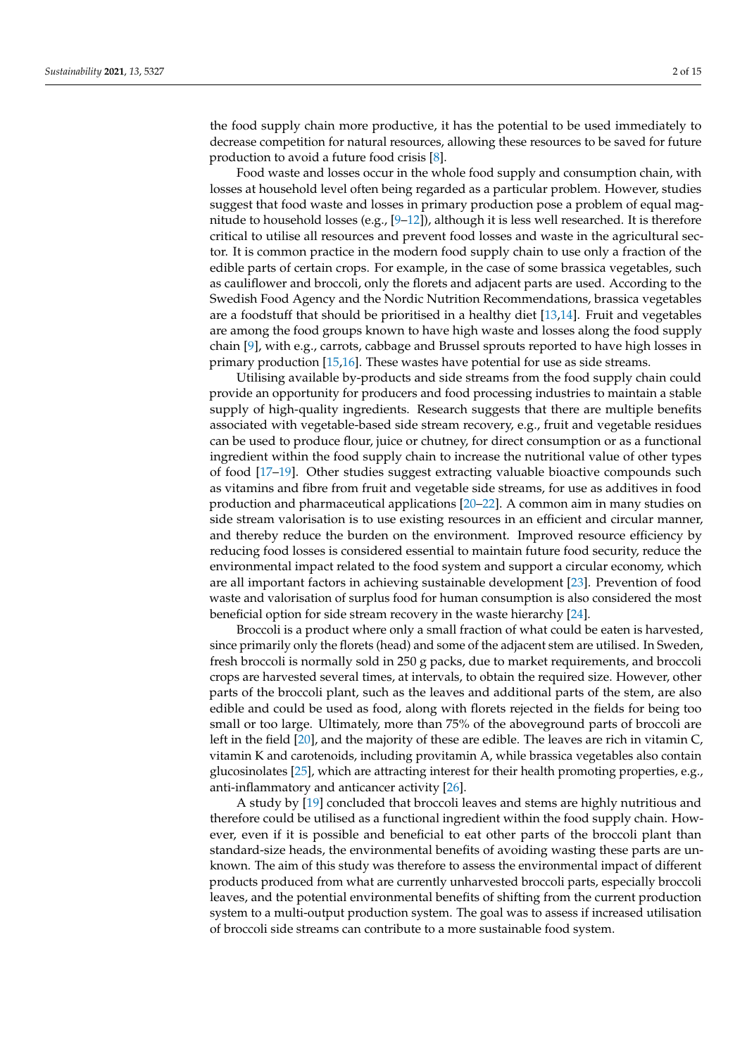the food supply chain more productive, it has the potential to be used immediately to decrease competition for natural resources, allowing these resources to be saved for future production to avoid a future food crisis [\[8\]](#page-12-6).

Food waste and losses occur in the whole food supply and consumption chain, with losses at household level often being regarded as a particular problem. However, studies suggest that food waste and losses in primary production pose a problem of equal magnitude to household losses (e.g.,  $[9-12]$  $[9-12]$ ), although it is less well researched. It is therefore critical to utilise all resources and prevent food losses and waste in the agricultural sector. It is common practice in the modern food supply chain to use only a fraction of the edible parts of certain crops. For example, in the case of some brassica vegetables, such as cauliflower and broccoli, only the florets and adjacent parts are used. According to the Swedish Food Agency and the Nordic Nutrition Recommendations, brassica vegetables are a foodstuff that should be prioritised in a healthy diet [\[13,](#page-12-9)[14\]](#page-12-10). Fruit and vegetables are among the food groups known to have high waste and losses along the food supply chain [\[9\]](#page-12-7), with e.g., carrots, cabbage and Brussel sprouts reported to have high losses in primary production [\[15](#page-12-11)[,16\]](#page-12-12). These wastes have potential for use as side streams.

Utilising available by-products and side streams from the food supply chain could provide an opportunity for producers and food processing industries to maintain a stable supply of high-quality ingredients. Research suggests that there are multiple benefits associated with vegetable-based side stream recovery, e.g., fruit and vegetable residues can be used to produce flour, juice or chutney, for direct consumption or as a functional ingredient within the food supply chain to increase the nutritional value of other types of food [\[17](#page-12-13)[–19\]](#page-13-0). Other studies suggest extracting valuable bioactive compounds such as vitamins and fibre from fruit and vegetable side streams, for use as additives in food production and pharmaceutical applications [\[20–](#page-13-1)[22\]](#page-13-2). A common aim in many studies on side stream valorisation is to use existing resources in an efficient and circular manner, and thereby reduce the burden on the environment. Improved resource efficiency by reducing food losses is considered essential to maintain future food security, reduce the environmental impact related to the food system and support a circular economy, which are all important factors in achieving sustainable development [\[23\]](#page-13-3). Prevention of food waste and valorisation of surplus food for human consumption is also considered the most beneficial option for side stream recovery in the waste hierarchy [\[24\]](#page-13-4).

Broccoli is a product where only a small fraction of what could be eaten is harvested, since primarily only the florets (head) and some of the adjacent stem are utilised. In Sweden, fresh broccoli is normally sold in 250 g packs, due to market requirements, and broccoli crops are harvested several times, at intervals, to obtain the required size. However, other parts of the broccoli plant, such as the leaves and additional parts of the stem, are also edible and could be used as food, along with florets rejected in the fields for being too small or too large. Ultimately, more than 75% of the aboveground parts of broccoli are left in the field [\[20\]](#page-13-1), and the majority of these are edible. The leaves are rich in vitamin C, vitamin K and carotenoids, including provitamin A, while brassica vegetables also contain glucosinolates [\[25\]](#page-13-5), which are attracting interest for their health promoting properties, e.g., anti-inflammatory and anticancer activity [\[26\]](#page-13-6).

A study by [\[19\]](#page-13-0) concluded that broccoli leaves and stems are highly nutritious and therefore could be utilised as a functional ingredient within the food supply chain. However, even if it is possible and beneficial to eat other parts of the broccoli plant than standard-size heads, the environmental benefits of avoiding wasting these parts are unknown. The aim of this study was therefore to assess the environmental impact of different products produced from what are currently unharvested broccoli parts, especially broccoli leaves, and the potential environmental benefits of shifting from the current production system to a multi-output production system. The goal was to assess if increased utilisation of broccoli side streams can contribute to a more sustainable food system.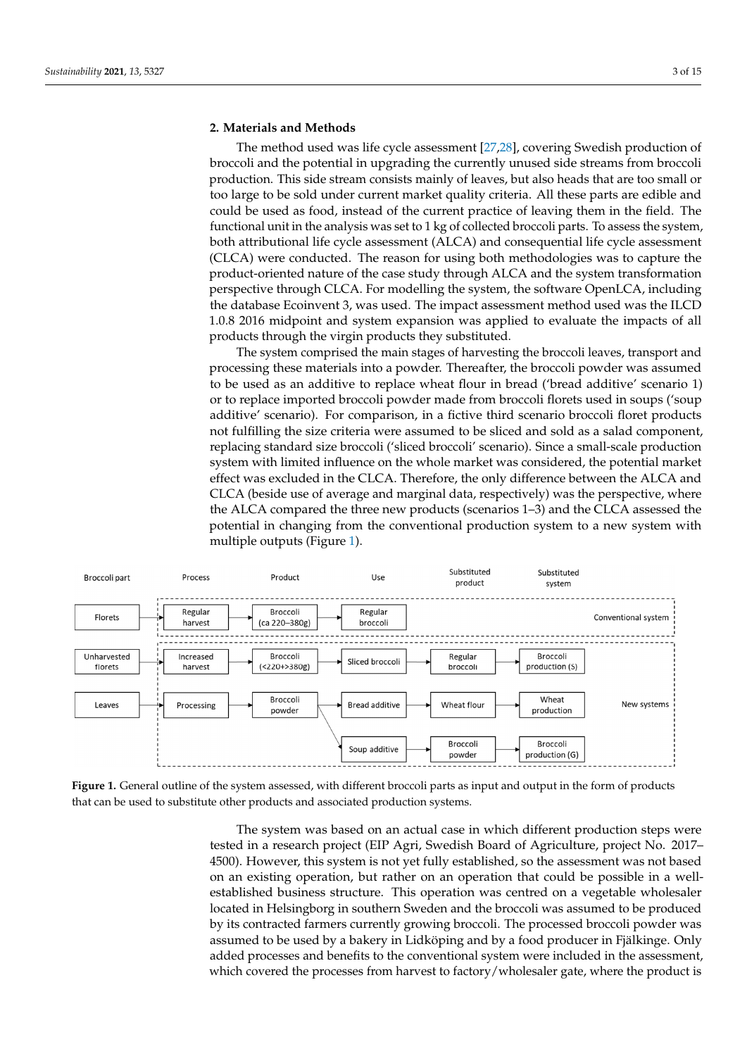## **2. Materials and Methods 2. Materials and Methods**

The method used was life cycle assessment [\[27](#page-13-7)[,28\]](#page-13-8), covering Swedish production of The method used was life cycle assessment [27,28], covering Swedish production of broccoli and the potential in upgrading the currently unused side streams from broccoli broccoli and the potential in upgrading the currently unused side streams from broccoli production. This side stream consists mainly of leaves, but also heads that are too small or too large to be sold under current market quality criteria. All these parts are edible and or too large to be sold under current market quality criteria. All these parts are edible and could be used as food, instead of the current practice of leaving them in the field. The could be used as food, instead of the current practice of leaving them in the field. The functional unit in the analysis was set to 1 kg of collected broccoli parts. To assess the system, functional unit in the analysis was set to 1 kg of collected broccoli parts. To assess the both attributional life cycle assessment (ALCA) and consequential life cycle assessment (CLCA) were conducted. The reason for using both methodologies was to capture the product-oriented nature of the case study through ALCA and the system transformation n<br>perspective through CLCA. For modelling the system, the software OpenLCA, including the database Ecoinvent 3, was used. The impact assessment method used was the ILCD 1.0.8 2016 midpoint and system expansion was applied to evaluate the impacts of all products through the virgin products they substituted.

The system comprised the main stages of harvesting the broccoli leaves, transport and The system comprised the main stages of harvesting the broccoli leaves, transport processing these materials into a powder. Thereafter, the broccoli powder was assumed to be used as an additive to replace wheat flour in bread ('bread additive' scenario 1) or to replace imported broccoli powder made from broccoli florets used in soups ('soup additive' scenario). For comparison, in a fictive third scenario broccoli floret products not fulfilling the size criteria were assumed to be sliced and sold as a salad component, replacing standard size broccoli ('sliced broccoli' scenario). Since a small-scale production placing standard size broccoli ('sliced broccoli' scenario). Since a small-scale production system with limited influence on the whole market was considered, the potential market system with limited influence on the whole market was considered, the potential market effect was excluded in the CLCA. Therefore, the only difference between the ALCA and effect was excluded in the CLCA. Therefore, the only difference between the ALCA and CLCA (beside use of average and marginal data, respectively) was the perspective, where CLCA (beside use of average and marginal data, respectively) was the perspective, where the ALCA compared the three new products (scenarios 1–3) and the CLCA assessed the the ALCA compared the three new products (scenarios 1–3) and the CLCA assessed the potential in changing from the conventional production system to a new system with potential in changing from the conventional production system to a new system with mulmultiple outputs (Figure [1\)](#page-2-0). tiple outputs (Figure 1).

<span id="page-2-0"></span>

Figure 1. General outline of the system assessed, with different broccoli parts as input and output in the form of products that can be used to substitute other products and associated production systems. that can be used to substitute other products and associated production systems.

The system was based on an actual case in which different production steps were The system was based on an actual case in which different production steps were tested in a research project (EIP Agri, Swedish Board of Agriculture, project No. 2017– tested in a research project (EIP Agri, Swedish Board of Agriculture, project No. 2017– 4500). However, this system is not yet fully established, so the assessment was not based 4500). However, this system is not yet fully established, so the assessment was not based on an existing operation, but rather on an operation that could be possible in a wellestablished business structure. This operation was centred on a vegetable wholesaler located in Helsingborg in southern Sweden and the broccoli was assumed to be produced by its contracted farmers currently growing broccoli. The processed broccoli powder was sumed to be used by a bakery in Lidköping and by a food producer in Fjälkinge. Only assumed to be used by a bakery in Lidköping and by a food producer in Fjälkinge. Only added processes and benefits to the conventional system were included in the assessment, added processes and benefits to the conventional system were included in the assessment, which covered the processes from harvest to factory/wholesaler gate, where the product which covered the processes from harvest to factory/wholesaler gate, where the product is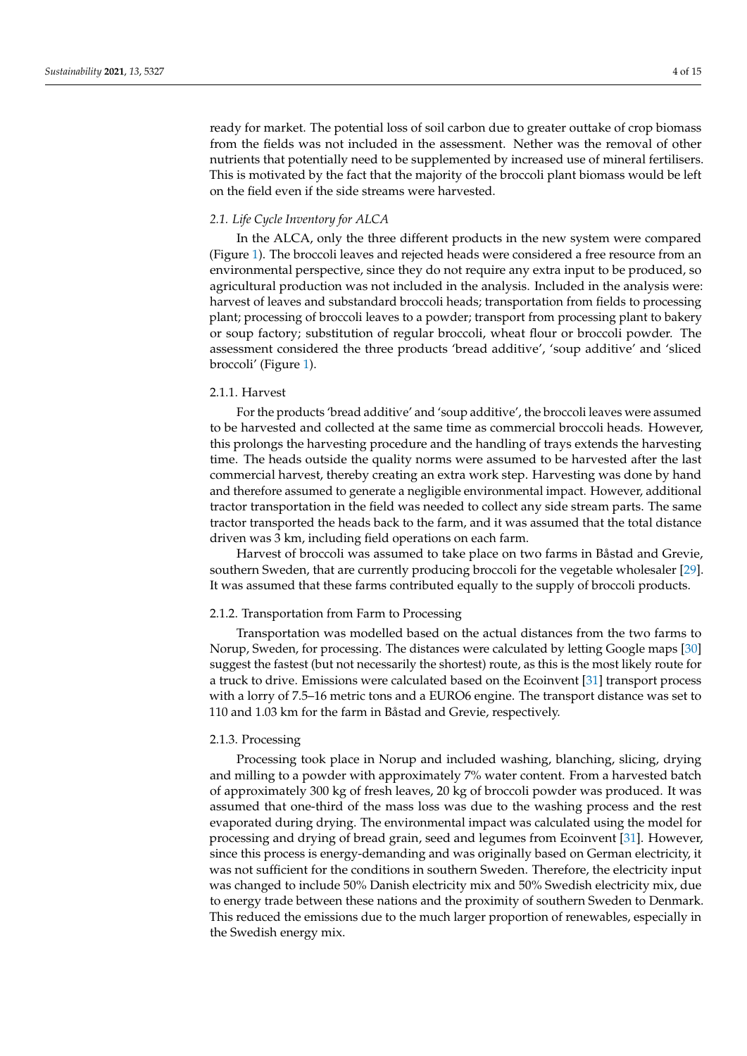ready for market. The potential loss of soil carbon due to greater outtake of crop biomass from the fields was not included in the assessment. Nether was the removal of other nutrients that potentially need to be supplemented by increased use of mineral fertilisers. This is motivated by the fact that the majority of the broccoli plant biomass would be left on the field even if the side streams were harvested.

## *2.1. Life Cycle Inventory for ALCA*

In the ALCA, only the three different products in the new system were compared (Figure [1\)](#page-2-0). The broccoli leaves and rejected heads were considered a free resource from an environmental perspective, since they do not require any extra input to be produced, so agricultural production was not included in the analysis. Included in the analysis were: harvest of leaves and substandard broccoli heads; transportation from fields to processing plant; processing of broccoli leaves to a powder; transport from processing plant to bakery or soup factory; substitution of regular broccoli, wheat flour or broccoli powder. The assessment considered the three products 'bread additive', 'soup additive' and 'sliced broccoli' (Figure [1\)](#page-2-0).

## 2.1.1. Harvest

For the products 'bread additive' and 'soup additive', the broccoli leaves were assumed to be harvested and collected at the same time as commercial broccoli heads. However, this prolongs the harvesting procedure and the handling of trays extends the harvesting time. The heads outside the quality norms were assumed to be harvested after the last commercial harvest, thereby creating an extra work step. Harvesting was done by hand and therefore assumed to generate a negligible environmental impact. However, additional tractor transportation in the field was needed to collect any side stream parts. The same tractor transported the heads back to the farm, and it was assumed that the total distance driven was 3 km, including field operations on each farm.

Harvest of broccoli was assumed to take place on two farms in Båstad and Grevie, southern Sweden, that are currently producing broccoli for the vegetable wholesaler [\[29\]](#page-13-9). It was assumed that these farms contributed equally to the supply of broccoli products.

#### 2.1.2. Transportation from Farm to Processing

Transportation was modelled based on the actual distances from the two farms to Norup, Sweden, for processing. The distances were calculated by letting Google maps [\[30\]](#page-13-10) suggest the fastest (but not necessarily the shortest) route, as this is the most likely route for a truck to drive. Emissions were calculated based on the Ecoinvent [\[31\]](#page-13-11) transport process with a lorry of 7.5–16 metric tons and a EURO6 engine. The transport distance was set to 110 and 1.03 km for the farm in Båstad and Grevie, respectively.

## <span id="page-3-0"></span>2.1.3. Processing

Processing took place in Norup and included washing, blanching, slicing, drying and milling to a powder with approximately 7% water content. From a harvested batch of approximately 300 kg of fresh leaves, 20 kg of broccoli powder was produced. It was assumed that one-third of the mass loss was due to the washing process and the rest evaporated during drying. The environmental impact was calculated using the model for processing and drying of bread grain, seed and legumes from Ecoinvent [\[31\]](#page-13-11). However, since this process is energy-demanding and was originally based on German electricity, it was not sufficient for the conditions in southern Sweden. Therefore, the electricity input was changed to include 50% Danish electricity mix and 50% Swedish electricity mix, due to energy trade between these nations and the proximity of southern Sweden to Denmark. This reduced the emissions due to the much larger proportion of renewables, especially in the Swedish energy mix.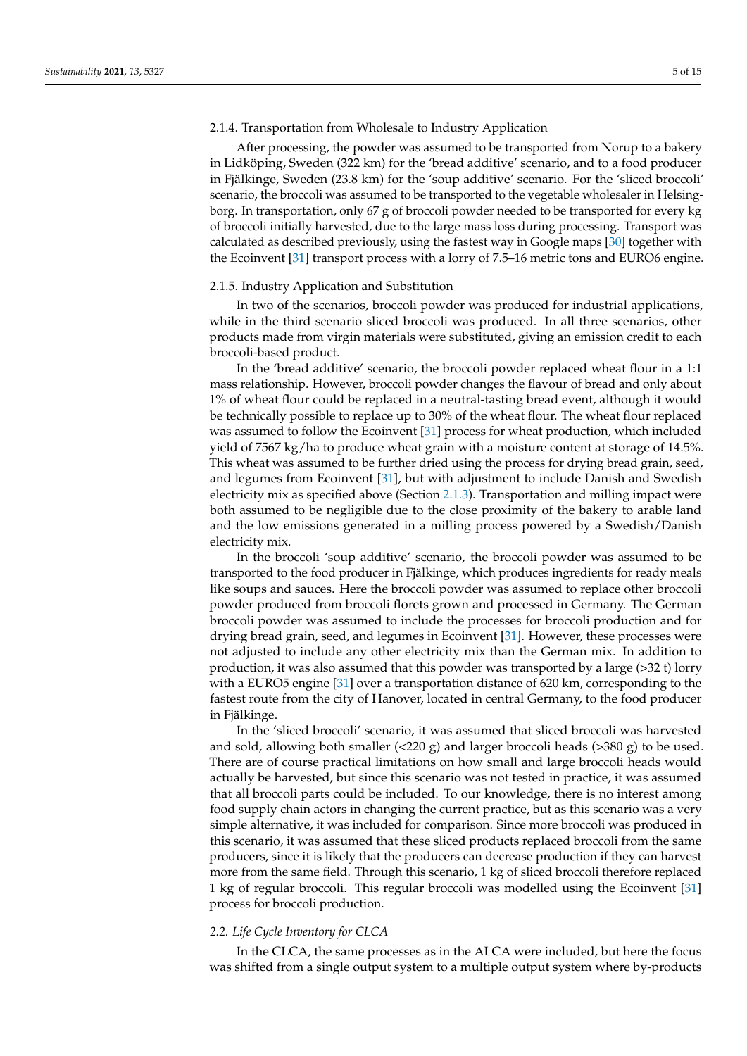#### 2.1.4. Transportation from Wholesale to Industry Application

After processing, the powder was assumed to be transported from Norup to a bakery in Lidköping, Sweden (322 km) for the 'bread additive' scenario, and to a food producer in Fjälkinge, Sweden (23.8 km) for the 'soup additive' scenario. For the 'sliced broccoli' scenario, the broccoli was assumed to be transported to the vegetable wholesaler in Helsingborg. In transportation, only 67 g of broccoli powder needed to be transported for every kg of broccoli initially harvested, due to the large mass loss during processing. Transport was calculated as described previously, using the fastest way in Google maps [\[30\]](#page-13-10) together with the Ecoinvent [\[31\]](#page-13-11) transport process with a lorry of 7.5–16 metric tons and EURO6 engine.

#### 2.1.5. Industry Application and Substitution

In two of the scenarios, broccoli powder was produced for industrial applications, while in the third scenario sliced broccoli was produced. In all three scenarios, other products made from virgin materials were substituted, giving an emission credit to each broccoli-based product.

In the 'bread additive' scenario, the broccoli powder replaced wheat flour in a 1:1 mass relationship. However, broccoli powder changes the flavour of bread and only about 1% of wheat flour could be replaced in a neutral-tasting bread event, although it would be technically possible to replace up to 30% of the wheat flour. The wheat flour replaced was assumed to follow the Ecoinvent [\[31\]](#page-13-11) process for wheat production, which included yield of 7567 kg/ha to produce wheat grain with a moisture content at storage of 14.5%. This wheat was assumed to be further dried using the process for drying bread grain, seed, and legumes from Ecoinvent [\[31\]](#page-13-11), but with adjustment to include Danish and Swedish electricity mix as specified above (Section [2.1.3\)](#page-3-0). Transportation and milling impact were both assumed to be negligible due to the close proximity of the bakery to arable land and the low emissions generated in a milling process powered by a Swedish/Danish electricity mix.

In the broccoli 'soup additive' scenario, the broccoli powder was assumed to be transported to the food producer in Fjälkinge, which produces ingredients for ready meals like soups and sauces. Here the broccoli powder was assumed to replace other broccoli powder produced from broccoli florets grown and processed in Germany. The German broccoli powder was assumed to include the processes for broccoli production and for drying bread grain, seed, and legumes in Ecoinvent [\[31\]](#page-13-11). However, these processes were not adjusted to include any other electricity mix than the German mix. In addition to production, it was also assumed that this powder was transported by a large (>32 t) lorry with a EURO5 engine [\[31\]](#page-13-11) over a transportation distance of 620 km, corresponding to the fastest route from the city of Hanover, located in central Germany, to the food producer in Fjälkinge.

In the 'sliced broccoli' scenario, it was assumed that sliced broccoli was harvested and sold, allowing both smaller  $\left($  <220 g) and larger broccoli heads  $\left($  >380 g) to be used. There are of course practical limitations on how small and large broccoli heads would actually be harvested, but since this scenario was not tested in practice, it was assumed that all broccoli parts could be included. To our knowledge, there is no interest among food supply chain actors in changing the current practice, but as this scenario was a very simple alternative, it was included for comparison. Since more broccoli was produced in this scenario, it was assumed that these sliced products replaced broccoli from the same producers, since it is likely that the producers can decrease production if they can harvest more from the same field. Through this scenario, 1 kg of sliced broccoli therefore replaced 1 kg of regular broccoli. This regular broccoli was modelled using the Ecoinvent [\[31\]](#page-13-11) process for broccoli production.

## *2.2. Life Cycle Inventory for CLCA*

In the CLCA, the same processes as in the ALCA were included, but here the focus was shifted from a single output system to a multiple output system where by-products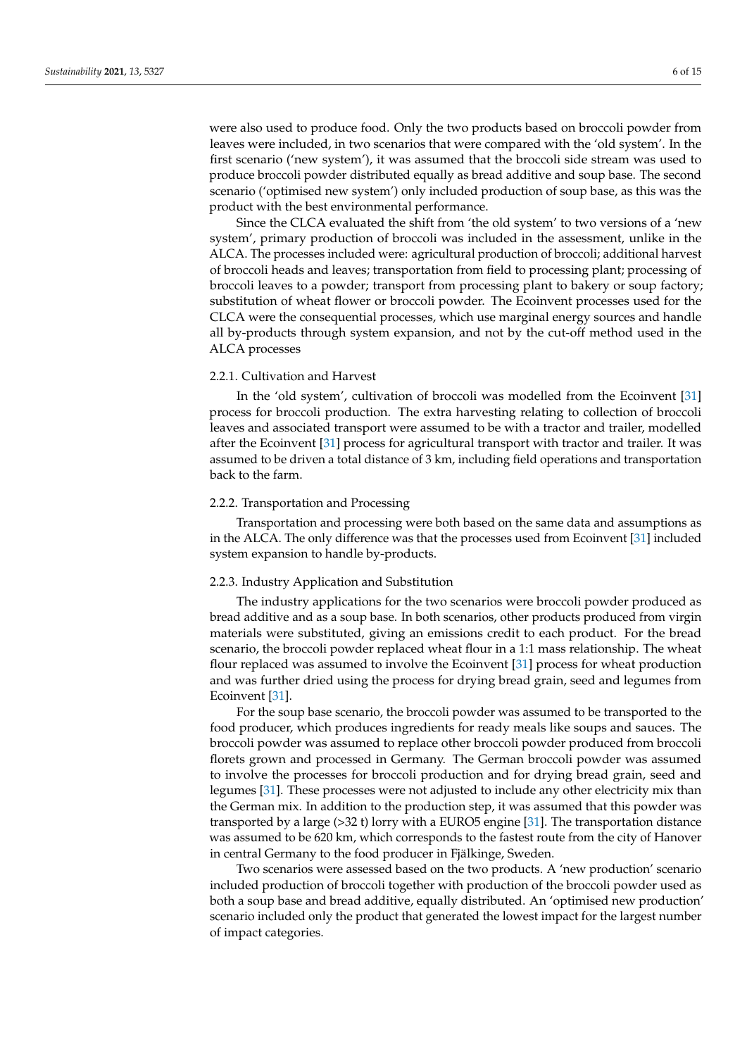were also used to produce food. Only the two products based on broccoli powder from leaves were included, in two scenarios that were compared with the 'old system'. In the first scenario ('new system'), it was assumed that the broccoli side stream was used to produce broccoli powder distributed equally as bread additive and soup base. The second scenario ('optimised new system') only included production of soup base, as this was the product with the best environmental performance.

Since the CLCA evaluated the shift from 'the old system' to two versions of a 'new system', primary production of broccoli was included in the assessment, unlike in the ALCA. The processes included were: agricultural production of broccoli; additional harvest of broccoli heads and leaves; transportation from field to processing plant; processing of broccoli leaves to a powder; transport from processing plant to bakery or soup factory; substitution of wheat flower or broccoli powder. The Ecoinvent processes used for the CLCA were the consequential processes, which use marginal energy sources and handle all by-products through system expansion, and not by the cut-off method used in the ALCA processes

## 2.2.1. Cultivation and Harvest

In the 'old system', cultivation of broccoli was modelled from the Ecoinvent [\[31\]](#page-13-11) process for broccoli production. The extra harvesting relating to collection of broccoli leaves and associated transport were assumed to be with a tractor and trailer, modelled after the Ecoinvent [\[31\]](#page-13-11) process for agricultural transport with tractor and trailer. It was assumed to be driven a total distance of 3 km, including field operations and transportation back to the farm.

## 2.2.2. Transportation and Processing

Transportation and processing were both based on the same data and assumptions as in the ALCA. The only difference was that the processes used from Ecoinvent [\[31\]](#page-13-11) included system expansion to handle by-products.

## 2.2.3. Industry Application and Substitution

The industry applications for the two scenarios were broccoli powder produced as bread additive and as a soup base. In both scenarios, other products produced from virgin materials were substituted, giving an emissions credit to each product. For the bread scenario, the broccoli powder replaced wheat flour in a 1:1 mass relationship. The wheat flour replaced was assumed to involve the Ecoinvent [\[31\]](#page-13-11) process for wheat production and was further dried using the process for drying bread grain, seed and legumes from Ecoinvent [\[31\]](#page-13-11).

For the soup base scenario, the broccoli powder was assumed to be transported to the food producer, which produces ingredients for ready meals like soups and sauces. The broccoli powder was assumed to replace other broccoli powder produced from broccoli florets grown and processed in Germany. The German broccoli powder was assumed to involve the processes for broccoli production and for drying bread grain, seed and legumes [\[31\]](#page-13-11). These processes were not adjusted to include any other electricity mix than the German mix. In addition to the production step, it was assumed that this powder was transported by a large (>32 t) lorry with a EURO5 engine [\[31\]](#page-13-11). The transportation distance was assumed to be 620 km, which corresponds to the fastest route from the city of Hanover in central Germany to the food producer in Fjälkinge, Sweden.

Two scenarios were assessed based on the two products. A 'new production' scenario included production of broccoli together with production of the broccoli powder used as both a soup base and bread additive, equally distributed. An 'optimised new production' scenario included only the product that generated the lowest impact for the largest number of impact categories.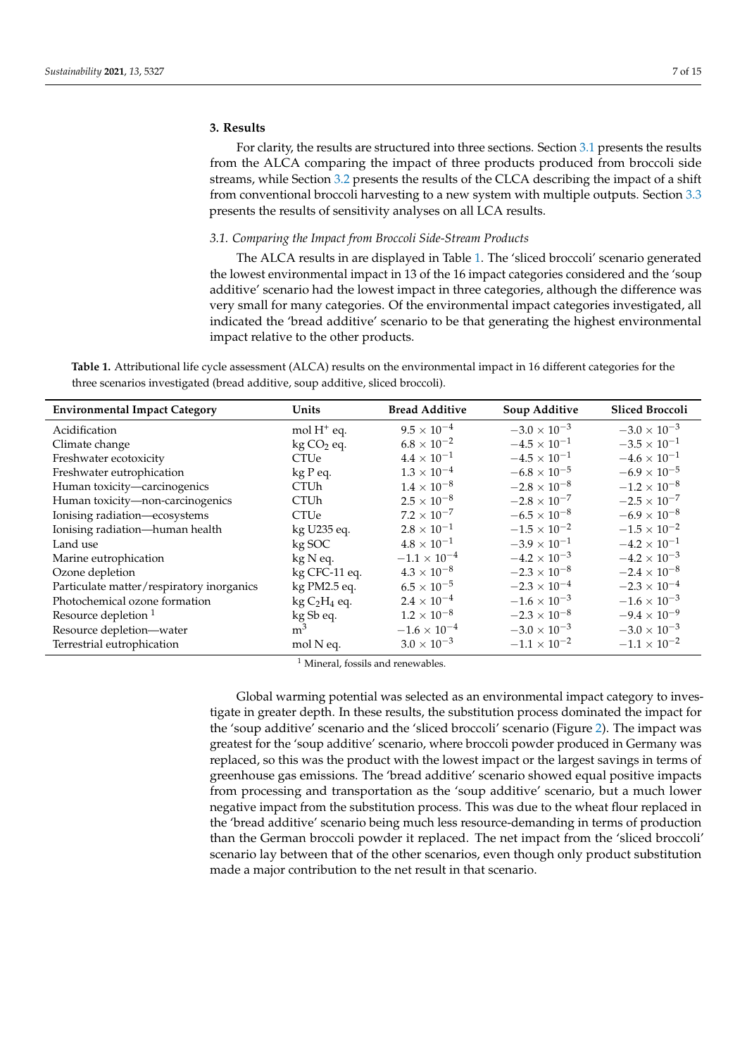## **3. Results**

For clarity, the results are structured into three sections. Section [3.1](#page-6-0) presents the results from the ALCA comparing the impact of three products produced from broccoli side streams, while Section [3.2](#page-7-0) presents the results of the CLCA describing the impact of a shift from conventional broccoli harvesting to a new system with multiple outputs. Section [3.3](#page-8-0) presents the results of sensitivity analyses on all LCA results.

## <span id="page-6-0"></span>*3.1. Comparing the Impact from Broccoli Side-Stream Products*

The ALCA results in are displayed in Table [1.](#page-6-1) The 'sliced broccoli' scenario generated the lowest environmental impact in 13 of the 16 impact categories considered and the 'soup additive' scenario had the lowest impact in three categories, although the difference was very small for many categories. Of the environmental impact categories investigated, all indicated the 'bread additive' scenario to be that generating the highest environmental impact relative to the other products.

<span id="page-6-1"></span>**Table 1.** Attributional life cycle assessment (ALCA) results on the environmental impact in 16 different categories for the three scenarios investigated (bread additive, soup additive, sliced broccoli).

| <b>Environmental Impact Category</b>      | Units                  | <b>Bread Additive</b> | Soup Additive         | <b>Sliced Broccoli</b> |
|-------------------------------------------|------------------------|-----------------------|-----------------------|------------------------|
| Acidification                             | mol $H^+$ eq.          | $9.5 \times 10^{-4}$  | $-3.0 \times 10^{-3}$ | $-3.0 \times 10^{-3}$  |
| Climate change                            | $kg CO2$ eq.           | $6.8 \times 10^{-2}$  | $-4.5 \times 10^{-1}$ | $-3.5 \times 10^{-1}$  |
| Freshwater ecotoxicity                    | <b>CTUe</b>            | $4.4 \times 10^{-1}$  | $-4.5 \times 10^{-1}$ | $-4.6 \times 10^{-1}$  |
| Freshwater eutrophication                 | kg P eq.               | $1.3 \times 10^{-4}$  | $-6.8 \times 10^{-5}$ | $-6.9 \times 10^{-5}$  |
| Human toxicity-carcinogenics              | <b>CTU<sub>h</sub></b> | $1.4 \times 10^{-8}$  | $-2.8\times10^{-8}$   | $-1.2 \times 10^{-8}$  |
| Human toxicity-non-carcinogenics          | <b>CTU<sub>h</sub></b> | $2.5 \times 10^{-8}$  | $-2.8 \times 10^{-7}$ | $-2.5 \times 10^{-7}$  |
| Ionising radiation-ecosystems             | <b>CTUe</b>            | $7.2 \times 10^{-7}$  | $-6.5\times10^{-8}$   | $-6.9 \times 10^{-8}$  |
| Ionising radiation-human health           | kg U235 eq.            | $2.8 \times 10^{-1}$  | $-1.5 \times 10^{-2}$ | $-1.5 \times 10^{-2}$  |
| Land use                                  | kg SOC                 | $4.8 \times 10^{-1}$  | $-3.9 \times 10^{-1}$ | $-4.2 \times 10^{-1}$  |
| Marine eutrophication                     | kg N eq.               | $-1.1 \times 10^{-4}$ | $-4.2 \times 10^{-3}$ | $-4.2 \times 10^{-3}$  |
| Ozone depletion                           | kg CFC-11 eq.          | $4.3 \times 10^{-8}$  | $-2.3 \times 10^{-8}$ | $-2.4 \times 10^{-8}$  |
| Particulate matter/respiratory inorganics | kg PM2.5 eq.           | $6.5 \times 10^{-5}$  | $-2.3 \times 10^{-4}$ | $-2.3 \times 10^{-4}$  |
| Photochemical ozone formation             | $kg C2H4$ eq.          | $2.4 \times 10^{-4}$  | $-1.6 \times 10^{-3}$ | $-1.6 \times 10^{-3}$  |
| Resource depletion <sup>1</sup>           | kg Sb eq.              | $1.2 \times 10^{-8}$  | $-2.3 \times 10^{-8}$ | $-9.4 \times 10^{-9}$  |
| Resource depletion-water                  | m <sup>3</sup>         | $-1.6 \times 10^{-4}$ | $-3.0 \times 10^{-3}$ | $-3.0 \times 10^{-3}$  |
| Terrestrial eutrophication                | mol N eq.              | $3.0 \times 10^{-3}$  | $-1.1 \times 10^{-2}$ | $-1.1 \times 10^{-2}$  |

<sup>1</sup> Mineral, fossils and renewables.

Global warming potential was selected as an environmental impact category to investigate in greater depth. In these results, the substitution process dominated the impact for the 'soup additive' scenario and the 'sliced broccoli' scenario (Figure [2\)](#page-7-1). The impact was greatest for the 'soup additive' scenario, where broccoli powder produced in Germany was replaced, so this was the product with the lowest impact or the largest savings in terms of greenhouse gas emissions. The 'bread additive' scenario showed equal positive impacts from processing and transportation as the 'soup additive' scenario, but a much lower negative impact from the substitution process. This was due to the wheat flour replaced in the 'bread additive' scenario being much less resource-demanding in terms of production than the German broccoli powder it replaced. The net impact from the 'sliced broccoli' scenario lay between that of the other scenarios, even though only product substitution made a major contribution to the net result in that scenario.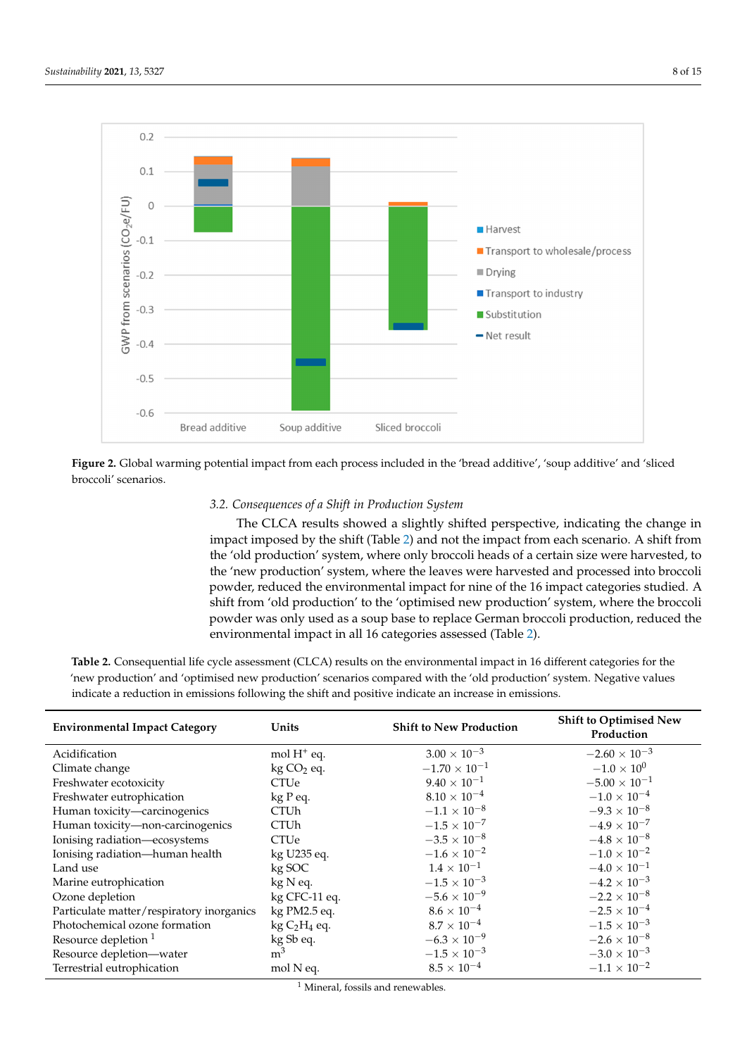<span id="page-7-1"></span>

Figure 2. Global warming potential impact from each process included in the 'bread additive', 'soup additive' and 'sliced broccoli' scenarios. broccoli' scenarios.

## <span id="page-7-0"></span>*3.2. Consequences of a Shift in Production System 3.2. Consequences of a Shift in Production System*

The CLCA results showed a slightly shifted perspective, indicating the change in impact imposed by the shift (Table 2[\) a](#page-7-2)nd not the impact from each scenario. A shift from the 'old production' system, where only broccoli heads of a certain size were harvested, to the 'old production' system, where only broccoli heads of a certain size were harvested, to the 'new production' system, where the leaves were harvested and processed into broccoli powder, reduced the environmental impact for nine of the 16 impact categories studied. A shift from 'old production' to the 'optimised new production' system, where the broccoli shift from 'old production' to the 'optimised new production' system, where the broccoli<br>powder was only used as a soup base to replace German broccoli production, reduced the environmental impact in all 16 categori[es](#page-7-2) assessed (Table 2).

<span id="page-7-2"></span>Table 2. Consequential life cycle assessment (CLCA) results on the environmental impact in 16 different categories for the 'new production' and 'optimised new production' scenarios compared with the 'old production' system. Negative values indicate a reduction in emissions following the shift and positive indicate an increase in emissions. indicate a reduction in emissions following the shift and positive indicate an increase in emissions.

| <b>Environmental Impact Category</b>      | Units          | <b>Shift to New Production</b> | <b>Shift to Optimised New</b><br>Production |  |
|-------------------------------------------|----------------|--------------------------------|---------------------------------------------|--|
| Acidification                             | mol $H^+$ eq.  | $3.00 \times 10^{-3}$          | $-2.60 \times 10^{-3}$                      |  |
| Climate change                            | $kg CO2$ eq.   | $-1.70 \times 10^{-1}$         | $-1.0 \times 10^{0}$                        |  |
| Freshwater ecotoxicity                    | <b>CTUe</b>    | $9.40 \times 10^{-1}$          | $-5.00 \times 10^{-1}$                      |  |
| Freshwater eutrophication                 | kg P eq.       | $8.10\times10^{-4}$            | $-1.0 \times 10^{-4}$                       |  |
| Human toxicity-carcinogenics              | <b>CTUh</b>    | $-1.1 \times 10^{-8}$          | $-9.3 \times 10^{-8}$                       |  |
| Human toxicity-non-carcinogenics          | <b>CTUh</b>    | $-1.5 \times 10^{-7}$          | $-4.9 \times 10^{-7}$                       |  |
| Ionising radiation-ecosystems             | <b>CTUe</b>    | $-3.5 \times 10^{-8}$          | $-4.8 \times 10^{-8}$                       |  |
| Ionising radiation-human health           | kg U235 eq.    | $-1.6 \times 10^{-2}$          | $-1.0 \times 10^{-2}$                       |  |
| Land use                                  | kg SOC         | $1.4 \times 10^{-1}$           | $-4.0 \times 10^{-1}$                       |  |
| Marine eutrophication                     | kg N eq.       | $-1.5 \times 10^{-3}$          | $-4.2 \times 10^{-3}$                       |  |
| Ozone depletion                           | kg CFC-11 eq.  | $-5.6 \times 10^{-9}$          | $-2.2 \times 10^{-8}$                       |  |
| Particulate matter/respiratory inorganics | kg PM2.5 eq.   | $8.6 \times 10^{-4}$           | $-2.5\times10^{-4}$                         |  |
| Photochemical ozone formation             | $kg C2H4$ eq.  | $8.7 \times 10^{-4}$           | $-1.5 \times 10^{-3}$                       |  |
| Resource depletion <sup>1</sup>           | kg Sb eq.      | $-6.3 \times 10^{-9}$          | $-2.6 \times 10^{-8}$                       |  |
| Resource depletion-water                  | m <sup>3</sup> | $-1.5 \times 10^{-3}$          | $-3.0 \times 10^{-3}$                       |  |
| Terrestrial eutrophication                | mol N eq.      | $8.5 \times 10^{-4}$           | $-1.1 \times 10^{-2}$                       |  |

<sup>1</sup> Mineral, fossils and renewables.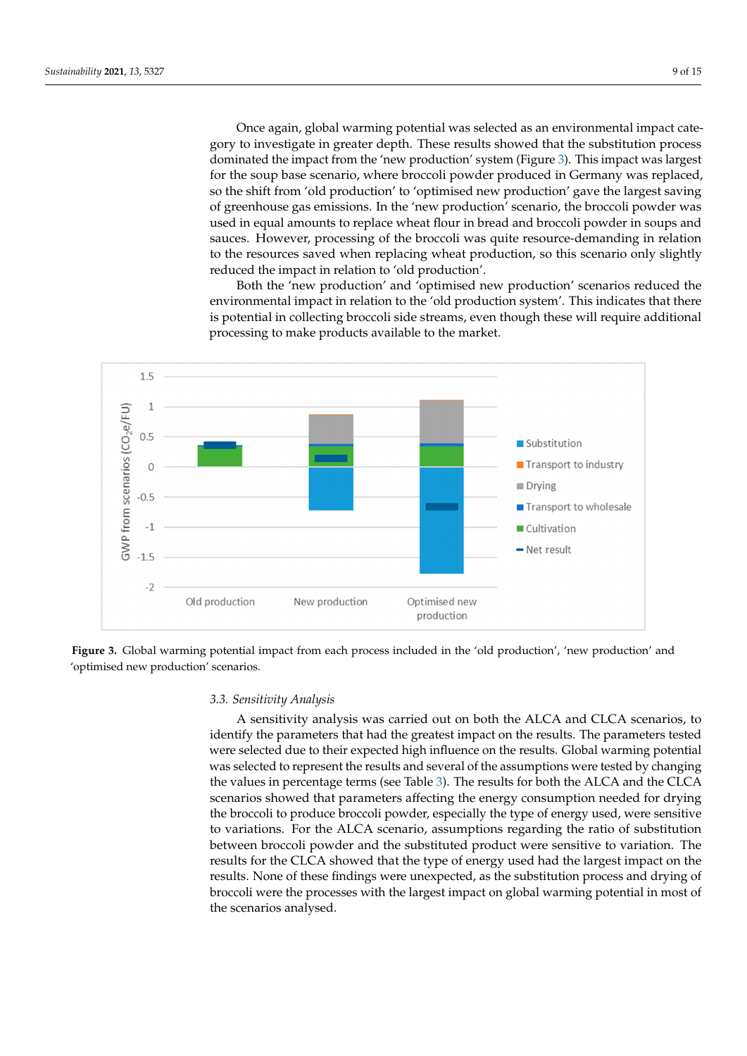Once again, global warming potential was selected as an environmental impact category to investigate in greater depth. These results showed that the substitution process egory to investigate in greater depth. These results showed that the substitution process dominated the impact from the 'new production' system (Figure [3\)](#page-8-1). This impact was largest dominated the impact from the 'new production' system (Figure 3). This impact was largfor the soup base scenario, where broccoli powder produced in Germany was replaced, so the shift from 'old production' to 'optimised new production' gave the largest saving so the shift from 'old production' to 'optimised new production' gave the largest saving of greenhouse gas emissions. In the 'new production' scenario, the broccoli powder was of greenhouse gas emissions. In the 'new production' scenario, the broccoli powder was used in equal amounts to replace wheat flour in bread and broccoli powder in soups and used in equal amounts to replace wheat flour in bread and broccoli powder in soups and sauces. However, processing of the broccoli was quite resource-demanding in relation to the resources saved when replacing wheat production, so this scenario only slightly reduced the impact in relation to 'old production'.

Both the 'new production' and 'optimised new production' scenarios reduced the Both the 'new production' and 'optimised new production' scenarios reduced the environmental impact in relation to the 'old production system'. This indicates that there is potential in collecting broccoli side streams, even though these will require additional is potential in collecting broccoli side streams, even though these will require additional processing to make products available to the market. processing to make products available to the market.

<span id="page-8-1"></span>

 $T_{\rm eff}$  eutrophication moleculation model  $\sim$  10−4  $+$  10−4  $+$  10−4  $+$ 

Figure 3. Global warming potential impact from each process included in the 'old production', 'new production' and 'optimised new production' scenarios. 'optimised new production' scenarios.

# <span id="page-8-0"></span>*3.3. Sensitivity Analysis 3.3. Sensitivity Analysis*

 $A = \frac{1}{2}$ sis was carried out on both the ALCA and CLCA scenarios, to the ALCA and CLCA scenarios, to the ALCA and CLCA scenarios, to the ALCA and CLCA scenarios, to the ALCA scenarios, to the ALCA and CLCA scenarios, to A sensitivity analysis was carried out on both the ALCA and CLCA scenarios, to Refluity the parameters that had the greatest impact on the results. The parameters tested<br>were selected due to their expected high influence on the results. Global warming potential were selected due to their expected right numerice on the results. Shown warning potential was selected to represent the results and several of the assumptions were tested by changing changing the values in percentage terms (see Table 3). The results for both the ALCA and the values in percentage terms (see Table [3\)](#page-9-0). The results for both the ALCA and the CLCA scenarios showed that parameters affecting the energy consumption needed for drying for drying the broccoli to produce broccoli powder, especially the type of energy used, the broccoli to produce broccoli powder, especially the type of energy used, were sensitive to variations. For the ALCA scenario, assumptions regarding the ratio of substitution between broccoli powder and the substituted product were sensitive to variation. The results for the CLCA showed that the type of energy used had the largest impact on the results. None of these findings were unexpected, as the substitution process and drying of broccoli were the processes with the largest impact on global warming potential in most of the scenarios analysed. identify the parameters that had the greatest impact on the results. The parameters tested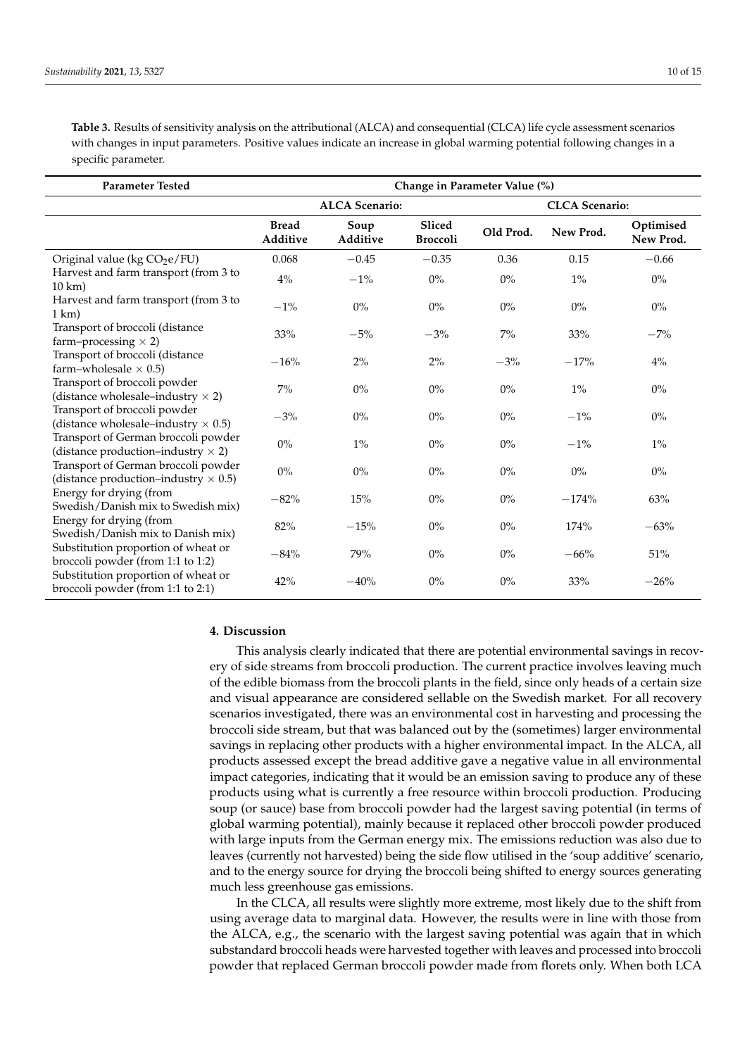<span id="page-9-0"></span>**Table 3.** Results of sensitivity analysis on the attributional (ALCA) and consequential (CLCA) life cycle assessment scenarios with changes in input parameters. Positive values indicate an increase in global warming potential following changes in a specific parameter.

| <b>Parameter Tested</b>                                                            | Change in Parameter Value (%) |                  |                           |                       |           |                        |
|------------------------------------------------------------------------------------|-------------------------------|------------------|---------------------------|-----------------------|-----------|------------------------|
|                                                                                    | <b>ALCA Scenario:</b>         |                  |                           | <b>CLCA</b> Scenario: |           |                        |
|                                                                                    | <b>Bread</b><br>Additive      | Soup<br>Additive | Sliced<br><b>Broccoli</b> | Old Prod.             | New Prod. | Optimised<br>New Prod. |
| Original value (kg CO <sub>2</sub> e/FU)                                           | 0.068                         | $-0.45$          | $-0.35$                   | 0.36                  | 0.15      | $-0.66$                |
| Harvest and farm transport (from 3 to<br>$10 \text{ km}$ )                         | $4\%$                         | $-1\%$           | $0\%$                     | $0\%$                 | $1\%$     | $0\%$                  |
| Harvest and farm transport (from 3 to<br>1 km)                                     | $-1\%$                        | $0\%$            | $0\%$                     | $0\%$                 | $0\%$     | $0\%$                  |
| Transport of broccoli (distance<br>farm-processing $\times$ 2)                     | 33%                           | $-5%$            | $-3%$                     | $7\%$                 | 33%       | $-7%$                  |
| Transport of broccoli (distance<br>farm-wholesale $\times$ 0.5)                    | $-16%$                        | $2\%$            | 2%                        | $-3%$                 | $-17%$    | $4\%$                  |
| Transport of broccoli powder<br>(distance wholesale-industry $\times$ 2)           | $7\%$                         | $0\%$            | $0\%$                     | $0\%$                 | $1\%$     | $0\%$                  |
| Transport of broccoli powder<br>(distance wholesale–industry $\times$ 0.5)         | $-3%$                         | $0\%$            | $0\%$                     | $0\%$                 | $-1%$     | $0\%$                  |
| Transport of German broccoli powder<br>(distance production-industry $\times$ 2)   | $0\%$                         | $1\%$            | $0\%$                     | $0\%$                 | $-1%$     | $1\%$                  |
| Transport of German broccoli powder<br>(distance production-industry $\times$ 0.5) | $0\%$                         | $0\%$            | $0\%$                     | $0\%$                 | $0\%$     | $0\%$                  |
| Energy for drying (from<br>Swedish/Danish mix to Swedish mix)                      | $-82%$                        | 15%              | $0\%$                     | $0\%$                 | $-174%$   | 63%                    |
| Energy for drying (from<br>Swedish/Danish mix to Danish mix)                       | 82%                           | $-15%$           | $0\%$                     | $0\%$                 | 174%      | $-63%$                 |
| Substitution proportion of wheat or<br>broccoli powder (from 1:1 to 1:2)           | $-84%$                        | 79%              | $0\%$                     | $0\%$                 | $-66%$    | 51%                    |
| Substitution proportion of wheat or<br>broccoli powder (from 1:1 to 2:1)           | 42%                           | $-40%$           | $0\%$                     | 0%                    | 33%       | $-26%$                 |

## **4. Discussion**

This analysis clearly indicated that there are potential environmental savings in recovery of side streams from broccoli production. The current practice involves leaving much of the edible biomass from the broccoli plants in the field, since only heads of a certain size and visual appearance are considered sellable on the Swedish market. For all recovery scenarios investigated, there was an environmental cost in harvesting and processing the broccoli side stream, but that was balanced out by the (sometimes) larger environmental savings in replacing other products with a higher environmental impact. In the ALCA, all products assessed except the bread additive gave a negative value in all environmental impact categories, indicating that it would be an emission saving to produce any of these products using what is currently a free resource within broccoli production. Producing soup (or sauce) base from broccoli powder had the largest saving potential (in terms of global warming potential), mainly because it replaced other broccoli powder produced with large inputs from the German energy mix. The emissions reduction was also due to leaves (currently not harvested) being the side flow utilised in the 'soup additive' scenario, and to the energy source for drying the broccoli being shifted to energy sources generating much less greenhouse gas emissions.

In the CLCA, all results were slightly more extreme, most likely due to the shift from using average data to marginal data. However, the results were in line with those from the ALCA, e.g., the scenario with the largest saving potential was again that in which substandard broccoli heads were harvested together with leaves and processed into broccoli powder that replaced German broccoli powder made from florets only. When both LCA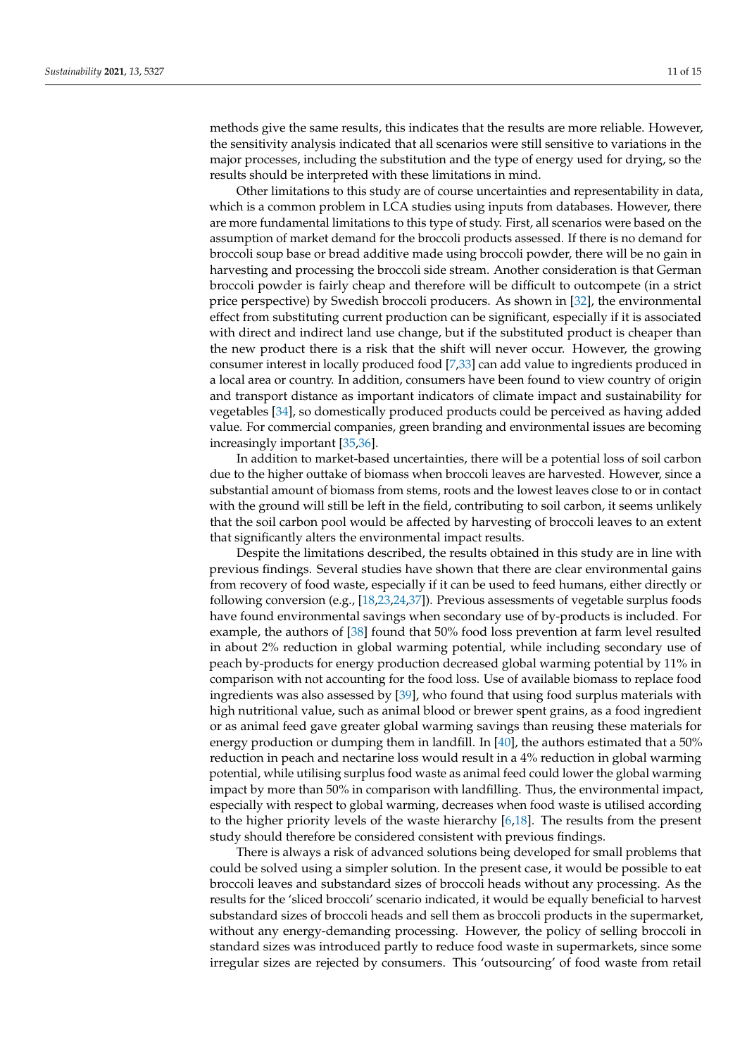methods give the same results, this indicates that the results are more reliable. However, the sensitivity analysis indicated that all scenarios were still sensitive to variations in the major processes, including the substitution and the type of energy used for drying, so the results should be interpreted with these limitations in mind.

Other limitations to this study are of course uncertainties and representability in data, which is a common problem in LCA studies using inputs from databases. However, there are more fundamental limitations to this type of study. First, all scenarios were based on the assumption of market demand for the broccoli products assessed. If there is no demand for broccoli soup base or bread additive made using broccoli powder, there will be no gain in harvesting and processing the broccoli side stream. Another consideration is that German broccoli powder is fairly cheap and therefore will be difficult to outcompete (in a strict price perspective) by Swedish broccoli producers. As shown in [\[32\]](#page-13-12), the environmental effect from substituting current production can be significant, especially if it is associated with direct and indirect land use change, but if the substituted product is cheaper than the new product there is a risk that the shift will never occur. However, the growing consumer interest in locally produced food [\[7](#page-12-5)[,33\]](#page-13-13) can add value to ingredients produced in a local area or country. In addition, consumers have been found to view country of origin and transport distance as important indicators of climate impact and sustainability for vegetables [\[34\]](#page-13-14), so domestically produced products could be perceived as having added value. For commercial companies, green branding and environmental issues are becoming increasingly important [\[35](#page-13-15)[,36\]](#page-13-16).

In addition to market-based uncertainties, there will be a potential loss of soil carbon due to the higher outtake of biomass when broccoli leaves are harvested. However, since a substantial amount of biomass from stems, roots and the lowest leaves close to or in contact with the ground will still be left in the field, contributing to soil carbon, it seems unlikely that the soil carbon pool would be affected by harvesting of broccoli leaves to an extent that significantly alters the environmental impact results.

Despite the limitations described, the results obtained in this study are in line with previous findings. Several studies have shown that there are clear environmental gains from recovery of food waste, especially if it can be used to feed humans, either directly or following conversion (e.g., [\[18,](#page-13-17)[23,](#page-13-3)[24,](#page-13-4)[37\]](#page-13-18)). Previous assessments of vegetable surplus foods have found environmental savings when secondary use of by-products is included. For example, the authors of [\[38\]](#page-13-19) found that 50% food loss prevention at farm level resulted in about 2% reduction in global warming potential, while including secondary use of peach by-products for energy production decreased global warming potential by 11% in comparison with not accounting for the food loss. Use of available biomass to replace food ingredients was also assessed by [\[39\]](#page-13-20), who found that using food surplus materials with high nutritional value, such as animal blood or brewer spent grains, as a food ingredient or as animal feed gave greater global warming savings than reusing these materials for energy production or dumping them in landfill. In [\[40\]](#page-13-21), the authors estimated that a 50% reduction in peach and nectarine loss would result in a 4% reduction in global warming potential, while utilising surplus food waste as animal feed could lower the global warming impact by more than 50% in comparison with landfilling. Thus, the environmental impact, especially with respect to global warming, decreases when food waste is utilised according to the higher priority levels of the waste hierarchy [\[6](#page-12-4)[,18\]](#page-13-17). The results from the present study should therefore be considered consistent with previous findings.

There is always a risk of advanced solutions being developed for small problems that could be solved using a simpler solution. In the present case, it would be possible to eat broccoli leaves and substandard sizes of broccoli heads without any processing. As the results for the 'sliced broccoli' scenario indicated, it would be equally beneficial to harvest substandard sizes of broccoli heads and sell them as broccoli products in the supermarket, without any energy-demanding processing. However, the policy of selling broccoli in standard sizes was introduced partly to reduce food waste in supermarkets, since some irregular sizes are rejected by consumers. This 'outsourcing' of food waste from retail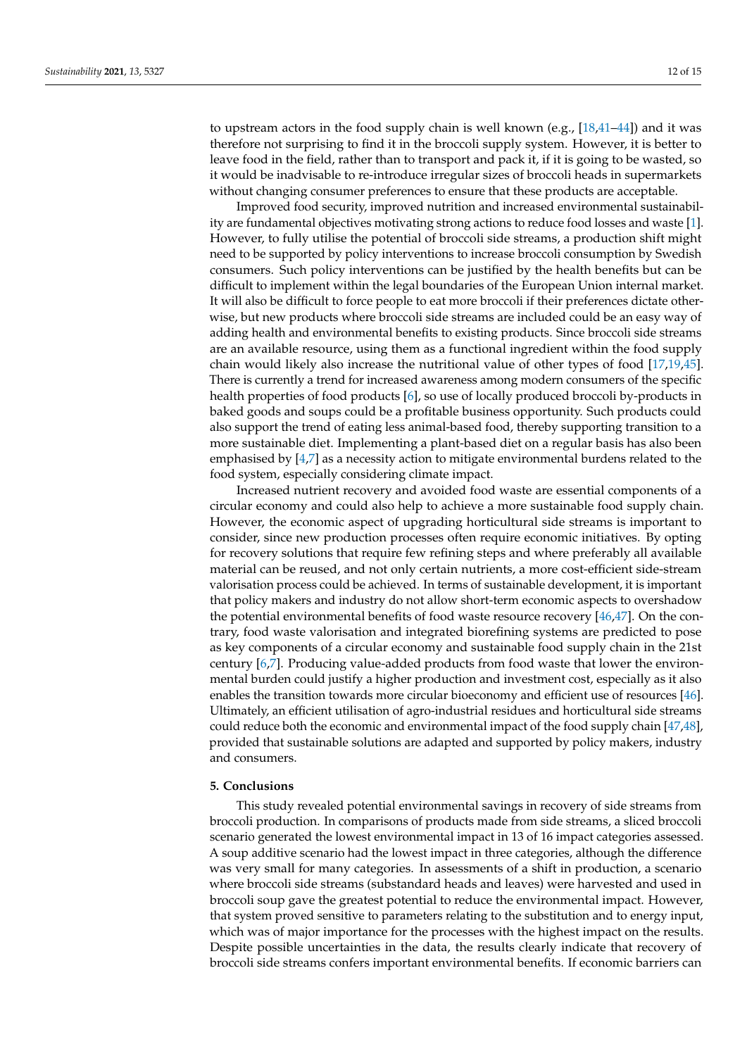to upstream actors in the food supply chain is well known (e.g., [\[18](#page-13-17)[,41–](#page-13-22)[44\]](#page-13-23)) and it was therefore not surprising to find it in the broccoli supply system. However, it is better to leave food in the field, rather than to transport and pack it, if it is going to be wasted, so it would be inadvisable to re-introduce irregular sizes of broccoli heads in supermarkets without changing consumer preferences to ensure that these products are acceptable.

Improved food security, improved nutrition and increased environmental sustainability are fundamental objectives motivating strong actions to reduce food losses and waste [\[1\]](#page-12-0). However, to fully utilise the potential of broccoli side streams, a production shift might need to be supported by policy interventions to increase broccoli consumption by Swedish consumers. Such policy interventions can be justified by the health benefits but can be difficult to implement within the legal boundaries of the European Union internal market. It will also be difficult to force people to eat more broccoli if their preferences dictate otherwise, but new products where broccoli side streams are included could be an easy way of adding health and environmental benefits to existing products. Since broccoli side streams are an available resource, using them as a functional ingredient within the food supply chain would likely also increase the nutritional value of other types of food [\[17,](#page-12-13)[19,](#page-13-0)[45\]](#page-13-24). There is currently a trend for increased awareness among modern consumers of the specific health properties of food products [\[6\]](#page-12-4), so use of locally produced broccoli by-products in baked goods and soups could be a profitable business opportunity. Such products could also support the trend of eating less animal-based food, thereby supporting transition to a more sustainable diet. Implementing a plant-based diet on a regular basis has also been emphasised by  $[4,7]$  $[4,7]$  as a necessity action to mitigate environmental burdens related to the food system, especially considering climate impact.

Increased nutrient recovery and avoided food waste are essential components of a circular economy and could also help to achieve a more sustainable food supply chain. However, the economic aspect of upgrading horticultural side streams is important to consider, since new production processes often require economic initiatives. By opting for recovery solutions that require few refining steps and where preferably all available material can be reused, and not only certain nutrients, a more cost-efficient side-stream valorisation process could be achieved. In terms of sustainable development, it is important that policy makers and industry do not allow short-term economic aspects to overshadow the potential environmental benefits of food waste resource recovery [\[46,](#page-13-25)[47\]](#page-14-0). On the contrary, food waste valorisation and integrated biorefining systems are predicted to pose as key components of a circular economy and sustainable food supply chain in the 21st century [\[6,](#page-12-4)[7\]](#page-12-5). Producing value-added products from food waste that lower the environmental burden could justify a higher production and investment cost, especially as it also enables the transition towards more circular bioeconomy and efficient use of resources [\[46\]](#page-13-25). Ultimately, an efficient utilisation of agro-industrial residues and horticultural side streams could reduce both the economic and environmental impact of the food supply chain [\[47](#page-14-0)[,48\]](#page-14-1), provided that sustainable solutions are adapted and supported by policy makers, industry and consumers.

#### **5. Conclusions**

This study revealed potential environmental savings in recovery of side streams from broccoli production. In comparisons of products made from side streams, a sliced broccoli scenario generated the lowest environmental impact in 13 of 16 impact categories assessed. A soup additive scenario had the lowest impact in three categories, although the difference was very small for many categories. In assessments of a shift in production, a scenario where broccoli side streams (substandard heads and leaves) were harvested and used in broccoli soup gave the greatest potential to reduce the environmental impact. However, that system proved sensitive to parameters relating to the substitution and to energy input, which was of major importance for the processes with the highest impact on the results. Despite possible uncertainties in the data, the results clearly indicate that recovery of broccoli side streams confers important environmental benefits. If economic barriers can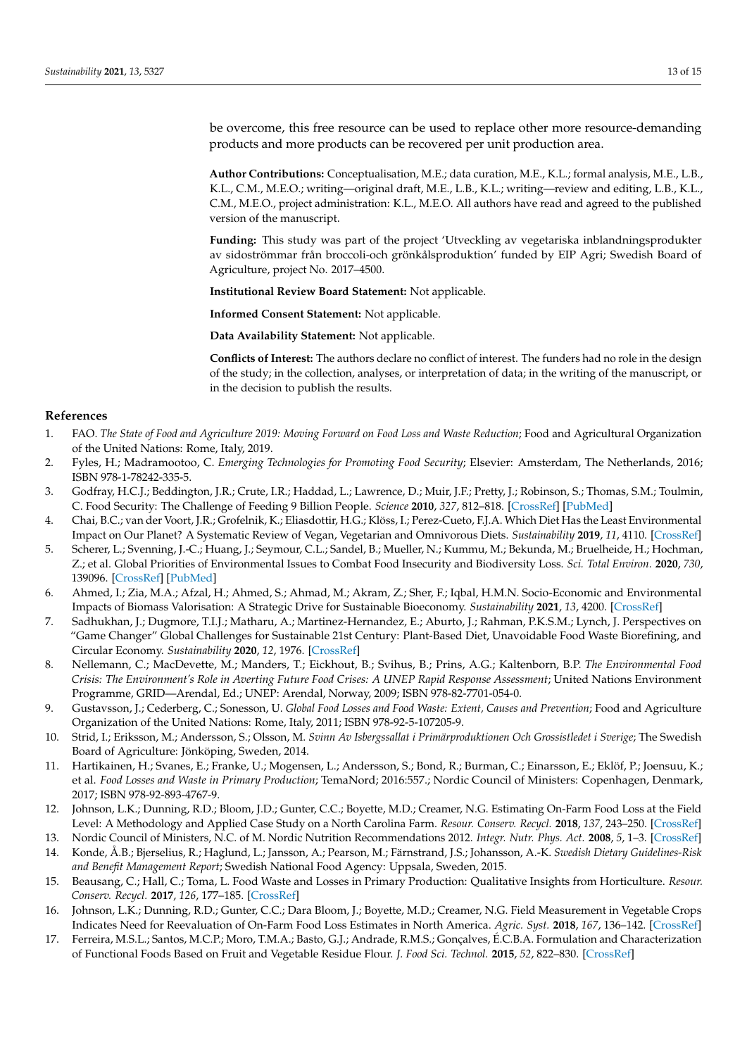be overcome, this free resource can be used to replace other more resource-demanding products and more products can be recovered per unit production area.

**Author Contributions:** Conceptualisation, M.E.; data curation, M.E., K.L.; formal analysis, M.E., L.B., K.L., C.M., M.E.O.; writing—original draft, M.E., L.B., K.L.; writing—review and editing, L.B., K.L., C.M., M.E.O., project administration: K.L., M.E.O. All authors have read and agreed to the published version of the manuscript.

**Funding:** This study was part of the project 'Utveckling av vegetariska inblandningsprodukter av sidoströmmar från broccoli-och grönkålsproduktion' funded by EIP Agri; Swedish Board of Agriculture, project No. 2017–4500.

**Institutional Review Board Statement:** Not applicable.

**Informed Consent Statement:** Not applicable.

**Data Availability Statement:** Not applicable.

**Conflicts of Interest:** The authors declare no conflict of interest. The funders had no role in the design of the study; in the collection, analyses, or interpretation of data; in the writing of the manuscript, or in the decision to publish the results.

#### **References**

- <span id="page-12-0"></span>1. FAO. *The State of Food and Agriculture 2019: Moving Forward on Food Loss and Waste Reduction*; Food and Agricultural Organization of the United Nations: Rome, Italy, 2019.
- <span id="page-12-1"></span>2. Fyles, H.; Madramootoo, C. *Emerging Technologies for Promoting Food Security*; Elsevier: Amsterdam, The Netherlands, 2016; ISBN 978-1-78242-335-5.
- <span id="page-12-2"></span>3. Godfray, H.C.J.; Beddington, J.R.; Crute, I.R.; Haddad, L.; Lawrence, D.; Muir, J.F.; Pretty, J.; Robinson, S.; Thomas, S.M.; Toulmin, C. Food Security: The Challenge of Feeding 9 Billion People. *Science* **2010**, *327*, 812–818. [\[CrossRef\]](http://doi.org/10.1126/science.1185383) [\[PubMed\]](http://www.ncbi.nlm.nih.gov/pubmed/20110467)
- <span id="page-12-3"></span>4. Chai, B.C.; van der Voort, J.R.; Grofelnik, K.; Eliasdottir, H.G.; Klöss, I.; Perez-Cueto, F.J.A. Which Diet Has the Least Environmental Impact on Our Planet? A Systematic Review of Vegan, Vegetarian and Omnivorous Diets. *Sustainability* **2019**, *11*, 4110. [\[CrossRef\]](http://doi.org/10.3390/su11154110)
- 5. Scherer, L.; Svenning, J.-C.; Huang, J.; Seymour, C.L.; Sandel, B.; Mueller, N.; Kummu, M.; Bekunda, M.; Bruelheide, H.; Hochman, Z.; et al. Global Priorities of Environmental Issues to Combat Food Insecurity and Biodiversity Loss. *Sci. Total Environ.* **2020**, *730*, 139096. [\[CrossRef\]](http://doi.org/10.1016/j.scitotenv.2020.139096) [\[PubMed\]](http://www.ncbi.nlm.nih.gov/pubmed/32388110)
- <span id="page-12-4"></span>6. Ahmed, I.; Zia, M.A.; Afzal, H.; Ahmed, S.; Ahmad, M.; Akram, Z.; Sher, F.; Iqbal, H.M.N. Socio-Economic and Environmental Impacts of Biomass Valorisation: A Strategic Drive for Sustainable Bioeconomy. *Sustainability* **2021**, *13*, 4200. [\[CrossRef\]](http://doi.org/10.3390/su13084200)
- <span id="page-12-5"></span>7. Sadhukhan, J.; Dugmore, T.I.J.; Matharu, A.; Martinez-Hernandez, E.; Aburto, J.; Rahman, P.K.S.M.; Lynch, J. Perspectives on "Game Changer" Global Challenges for Sustainable 21st Century: Plant-Based Diet, Unavoidable Food Waste Biorefining, and Circular Economy. *Sustainability* **2020**, *12*, 1976. [\[CrossRef\]](http://doi.org/10.3390/su12051976)
- <span id="page-12-6"></span>8. Nellemann, C.; MacDevette, M.; Manders, T.; Eickhout, B.; Svihus, B.; Prins, A.G.; Kaltenborn, B.P. *The Environmental Food Crisis: The Environment's Role in Averting Future Food Crises: A UNEP Rapid Response Assessment*; United Nations Environment Programme, GRID—Arendal, Ed.; UNEP: Arendal, Norway, 2009; ISBN 978-82-7701-054-0.
- <span id="page-12-7"></span>9. Gustavsson, J.; Cederberg, C.; Sonesson, U. *Global Food Losses and Food Waste: Extent, Causes and Prevention*; Food and Agriculture Organization of the United Nations: Rome, Italy, 2011; ISBN 978-92-5-107205-9.
- 10. Strid, I.; Eriksson, M.; Andersson, S.; Olsson, M. *Svinn Av Isbergssallat i Primärproduktionen Och Grossistledet i Sverige*; The Swedish Board of Agriculture: Jönköping, Sweden, 2014.
- 11. Hartikainen, H.; Svanes, E.; Franke, U.; Mogensen, L.; Andersson, S.; Bond, R.; Burman, C.; Einarsson, E.; Eklöf, P.; Joensuu, K.; et al. *Food Losses and Waste in Primary Production*; TemaNord; 2016:557.; Nordic Council of Ministers: Copenhagen, Denmark, 2017; ISBN 978-92-893-4767-9.
- <span id="page-12-8"></span>12. Johnson, L.K.; Dunning, R.D.; Bloom, J.D.; Gunter, C.C.; Boyette, M.D.; Creamer, N.G. Estimating On-Farm Food Loss at the Field Level: A Methodology and Applied Case Study on a North Carolina Farm. *Resour. Conserv. Recycl.* **2018**, *137*, 243–250. [\[CrossRef\]](http://doi.org/10.1016/j.resconrec.2018.05.017)
- <span id="page-12-9"></span>13. Nordic Council of Ministers, N.C. of M. Nordic Nutrition Recommendations 2012. *Integr. Nutr. Phys. Act.* **2008**, *5*, 1–3. [\[CrossRef\]](http://doi.org/10.6027/Nord2014-002)
- <span id="page-12-10"></span>14. Konde, Å.B.; Bjerselius, R.; Haglund, L.; Jansson, A.; Pearson, M.; Färnstrand, J.S.; Johansson, A.-K. *Swedish Dietary Guidelines-Risk and Benefit Management Report*; Swedish National Food Agency: Uppsala, Sweden, 2015.
- <span id="page-12-11"></span>15. Beausang, C.; Hall, C.; Toma, L. Food Waste and Losses in Primary Production: Qualitative Insights from Horticulture. *Resour. Conserv. Recycl.* **2017**, *126*, 177–185. [\[CrossRef\]](http://doi.org/10.1016/j.resconrec.2017.07.042)
- <span id="page-12-12"></span>16. Johnson, L.K.; Dunning, R.D.; Gunter, C.C.; Dara Bloom, J.; Boyette, M.D.; Creamer, N.G. Field Measurement in Vegetable Crops Indicates Need for Reevaluation of On-Farm Food Loss Estimates in North America. *Agric. Syst.* **2018**, *167*, 136–142. [\[CrossRef\]](http://doi.org/10.1016/j.agsy.2018.09.008)
- <span id="page-12-13"></span>17. Ferreira, M.S.L.; Santos, M.C.P.; Moro, T.M.A.; Basto, G.J.; Andrade, R.M.S.; Gonçalves, É.C.B.A. Formulation and Characterization of Functional Foods Based on Fruit and Vegetable Residue Flour. *J. Food Sci. Technol.* **2015**, *52*, 822–830. [\[CrossRef\]](http://doi.org/10.1007/s13197-013-1061-4)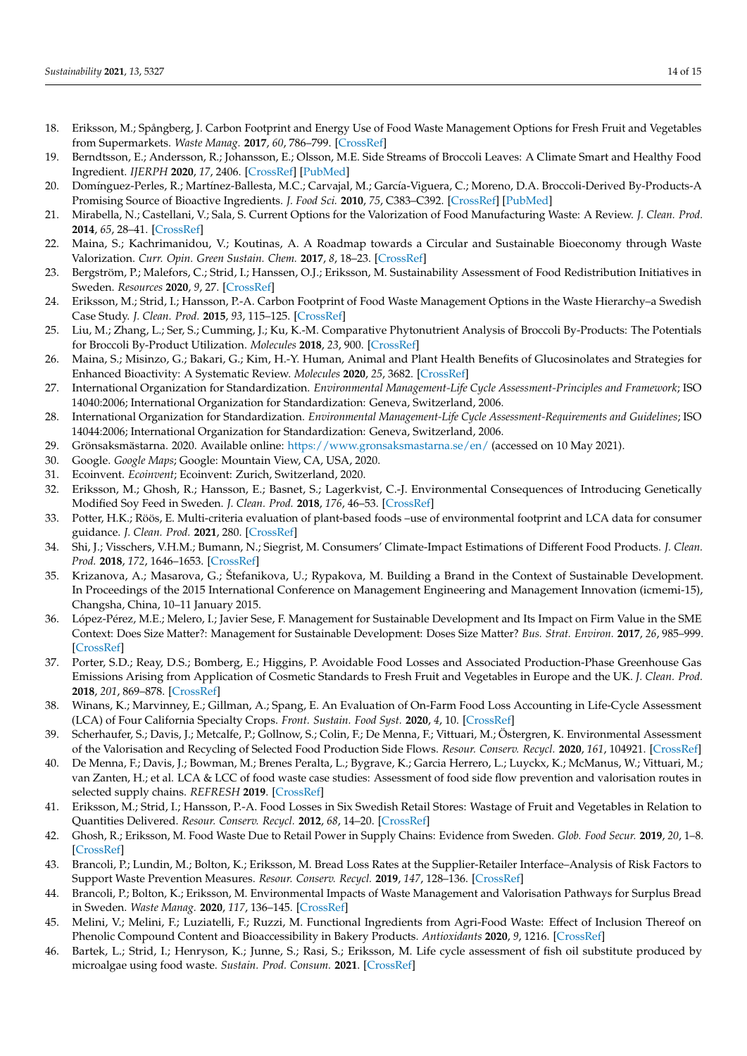- <span id="page-13-17"></span>18. Eriksson, M.; Spångberg, J. Carbon Footprint and Energy Use of Food Waste Management Options for Fresh Fruit and Vegetables from Supermarkets. *Waste Manag.* **2017**, *60*, 786–799. [\[CrossRef\]](http://doi.org/10.1016/j.wasman.2017.01.008)
- <span id="page-13-0"></span>19. Berndtsson, E.; Andersson, R.; Johansson, E.; Olsson, M.E. Side Streams of Broccoli Leaves: A Climate Smart and Healthy Food Ingredient. *IJERPH* **2020**, *17*, 2406. [\[CrossRef\]](http://doi.org/10.3390/ijerph17072406) [\[PubMed\]](http://www.ncbi.nlm.nih.gov/pubmed/32244813)
- <span id="page-13-1"></span>20. Domínguez-Perles, R.; Martínez-Ballesta, M.C.; Carvajal, M.; García-Viguera, C.; Moreno, D.A. Broccoli-Derived By-Products-A Promising Source of Bioactive Ingredients. *J. Food Sci.* **2010**, *75*, C383–C392. [\[CrossRef\]](http://doi.org/10.1111/j.1750-3841.2010.01606.x) [\[PubMed\]](http://www.ncbi.nlm.nih.gov/pubmed/20546399)
- 21. Mirabella, N.; Castellani, V.; Sala, S. Current Options for the Valorization of Food Manufacturing Waste: A Review. *J. Clean. Prod.* **2014**, *65*, 28–41. [\[CrossRef\]](http://doi.org/10.1016/j.jclepro.2013.10.051)
- <span id="page-13-2"></span>22. Maina, S.; Kachrimanidou, V.; Koutinas, A. A Roadmap towards a Circular and Sustainable Bioeconomy through Waste Valorization. *Curr. Opin. Green Sustain. Chem.* **2017**, *8*, 18–23. [\[CrossRef\]](http://doi.org/10.1016/j.cogsc.2017.07.007)
- <span id="page-13-3"></span>23. Bergström, P.; Malefors, C.; Strid, I.; Hanssen, O.J.; Eriksson, M. Sustainability Assessment of Food Redistribution Initiatives in Sweden. *Resources* **2020**, *9*, 27. [\[CrossRef\]](http://doi.org/10.3390/resources9030027)
- <span id="page-13-4"></span>24. Eriksson, M.; Strid, I.; Hansson, P.-A. Carbon Footprint of Food Waste Management Options in the Waste Hierarchy–a Swedish Case Study. *J. Clean. Prod.* **2015**, *93*, 115–125. [\[CrossRef\]](http://doi.org/10.1016/j.jclepro.2015.01.026)
- <span id="page-13-5"></span>25. Liu, M.; Zhang, L.; Ser, S.; Cumming, J.; Ku, K.-M. Comparative Phytonutrient Analysis of Broccoli By-Products: The Potentials for Broccoli By-Product Utilization. *Molecules* **2018**, *23*, 900. [\[CrossRef\]](http://doi.org/10.3390/molecules23040900)
- <span id="page-13-6"></span>26. Maina, S.; Misinzo, G.; Bakari, G.; Kim, H.-Y. Human, Animal and Plant Health Benefits of Glucosinolates and Strategies for Enhanced Bioactivity: A Systematic Review. *Molecules* **2020**, *25*, 3682. [\[CrossRef\]](http://doi.org/10.3390/molecules25163682)
- <span id="page-13-7"></span>27. International Organization for Standardization. *Environmental Management-Life Cycle Assessment-Principles and Framework*; ISO 14040:2006; International Organization for Standardization: Geneva, Switzerland, 2006.
- <span id="page-13-8"></span>28. International Organization for Standardization. *Environmental Management-Life Cycle Assessment-Requirements and Guidelines*; ISO 14044:2006; International Organization for Standardization: Geneva, Switzerland, 2006.
- <span id="page-13-9"></span>29. Grönsaksmästarna. 2020. Available online: <https://www.gronsaksmastarna.se/en/> (accessed on 10 May 2021).
- <span id="page-13-10"></span>30. Google. *Google Maps*; Google: Mountain View, CA, USA, 2020.
- <span id="page-13-11"></span>31. Ecoinvent. *Ecoinvent*; Ecoinvent: Zurich, Switzerland, 2020.
- <span id="page-13-12"></span>32. Eriksson, M.; Ghosh, R.; Hansson, E.; Basnet, S.; Lagerkvist, C.-J. Environmental Consequences of Introducing Genetically Modified Soy Feed in Sweden. *J. Clean. Prod.* **2018**, *176*, 46–53. [\[CrossRef\]](http://doi.org/10.1016/j.jclepro.2017.12.113)
- <span id="page-13-13"></span>33. Potter, H.K.; Röös, E. Multi-criteria evaluation of plant-based foods –use of environmental footprint and LCA data for consumer guidance. *J. Clean. Prod.* **2021**, 280. [\[CrossRef\]](http://doi.org/10.1016/j.jclepro.2020.124721)
- <span id="page-13-14"></span>34. Shi, J.; Visschers, V.H.M.; Bumann, N.; Siegrist, M. Consumers' Climate-Impact Estimations of Different Food Products. *J. Clean. Prod.* **2018**, *172*, 1646–1653. [\[CrossRef\]](http://doi.org/10.1016/j.jclepro.2016.11.140)
- <span id="page-13-15"></span>35. Krizanova, A.; Masarova, G.; Štefanikova, U.; Rypakova, M. Building a Brand in the Context of Sustainable Development. In Proceedings of the 2015 International Conference on Management Engineering and Management Innovation (icmemi-15), Changsha, China, 10–11 January 2015.
- <span id="page-13-16"></span>36. López-Pérez, M.E.; Melero, I.; Javier Sese, F. Management for Sustainable Development and Its Impact on Firm Value in the SME Context: Does Size Matter?: Management for Sustainable Development: Doses Size Matter? *Bus. Strat. Environ.* **2017**, *26*, 985–999. [\[CrossRef\]](http://doi.org/10.1002/bse.1961)
- <span id="page-13-18"></span>37. Porter, S.D.; Reay, D.S.; Bomberg, E.; Higgins, P. Avoidable Food Losses and Associated Production-Phase Greenhouse Gas Emissions Arising from Application of Cosmetic Standards to Fresh Fruit and Vegetables in Europe and the UK. *J. Clean. Prod.* **2018**, *201*, 869–878. [\[CrossRef\]](http://doi.org/10.1016/j.jclepro.2018.08.079)
- <span id="page-13-19"></span>38. Winans, K.; Marvinney, E.; Gillman, A.; Spang, E. An Evaluation of On-Farm Food Loss Accounting in Life-Cycle Assessment (LCA) of Four California Specialty Crops. *Front. Sustain. Food Syst.* **2020**, *4*, 10. [\[CrossRef\]](http://doi.org/10.3389/fsufs.2020.00010)
- <span id="page-13-20"></span>39. Scherhaufer, S.; Davis, J.; Metcalfe, P.; Gollnow, S.; Colin, F.; De Menna, F.; Vittuari, M.; Östergren, K. Environmental Assessment of the Valorisation and Recycling of Selected Food Production Side Flows. *Resour. Conserv. Recycl.* **2020**, *161*, 104921. [\[CrossRef\]](http://doi.org/10.1016/j.resconrec.2020.104921)
- <span id="page-13-21"></span>40. De Menna, F.; Davis, J.; Bowman, M.; Brenes Peralta, L.; Bygrave, K.; Garcia Herrero, L.; Luyckx, K.; McManus, W.; Vittuari, M.; van Zanten, H.; et al. LCA & LCC of food waste case studies: Assessment of food side flow prevention and valorisation routes in selected supply chains. *REFRESH* **2019**. [\[CrossRef\]](http://doi.org/10.18174/478622)
- <span id="page-13-22"></span>41. Eriksson, M.; Strid, I.; Hansson, P.-A. Food Losses in Six Swedish Retail Stores: Wastage of Fruit and Vegetables in Relation to Quantities Delivered. *Resour. Conserv. Recycl.* **2012**, *68*, 14–20. [\[CrossRef\]](http://doi.org/10.1016/j.resconrec.2012.08.001)
- 42. Ghosh, R.; Eriksson, M. Food Waste Due to Retail Power in Supply Chains: Evidence from Sweden. *Glob. Food Secur.* **2019**, *20*, 1–8. [\[CrossRef\]](http://doi.org/10.1016/j.gfs.2018.10.002)
- 43. Brancoli, P.; Lundin, M.; Bolton, K.; Eriksson, M. Bread Loss Rates at the Supplier-Retailer Interface–Analysis of Risk Factors to Support Waste Prevention Measures. *Resour. Conserv. Recycl.* **2019**, *147*, 128–136. [\[CrossRef\]](http://doi.org/10.1016/j.resconrec.2019.04.027)
- <span id="page-13-23"></span>44. Brancoli, P.; Bolton, K.; Eriksson, M. Environmental Impacts of Waste Management and Valorisation Pathways for Surplus Bread in Sweden. *Waste Manag.* **2020**, *117*, 136–145. [\[CrossRef\]](http://doi.org/10.1016/j.wasman.2020.07.043)
- <span id="page-13-24"></span>45. Melini, V.; Melini, F.; Luziatelli, F.; Ruzzi, M. Functional Ingredients from Agri-Food Waste: Effect of Inclusion Thereof on Phenolic Compound Content and Bioaccessibility in Bakery Products. *Antioxidants* **2020**, *9*, 1216. [\[CrossRef\]](http://doi.org/10.3390/antiox9121216)
- <span id="page-13-25"></span>46. Bartek, L.; Strid, I.; Henryson, K.; Junne, S.; Rasi, S.; Eriksson, M. Life cycle assessment of fish oil substitute produced by microalgae using food waste. *Sustain. Prod. Consum.* **2021**. [\[CrossRef\]](http://doi.org/10.1016/j.spc.2021.04.033)